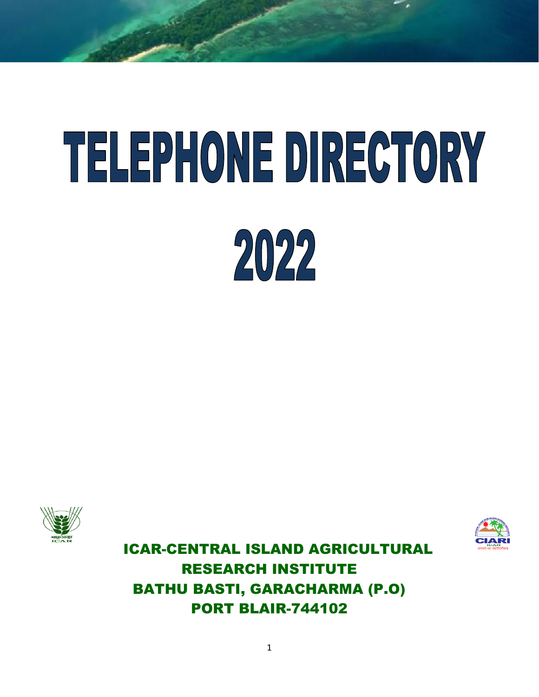# TELEPHONE DIRECTORY 2022





ICAR-CENTRAL ISLAND AGRICULTURAL RESEARCH INSTITUTE BATHU BASTI, GARACHARMA (P.O) PORT BLAIR-744102

1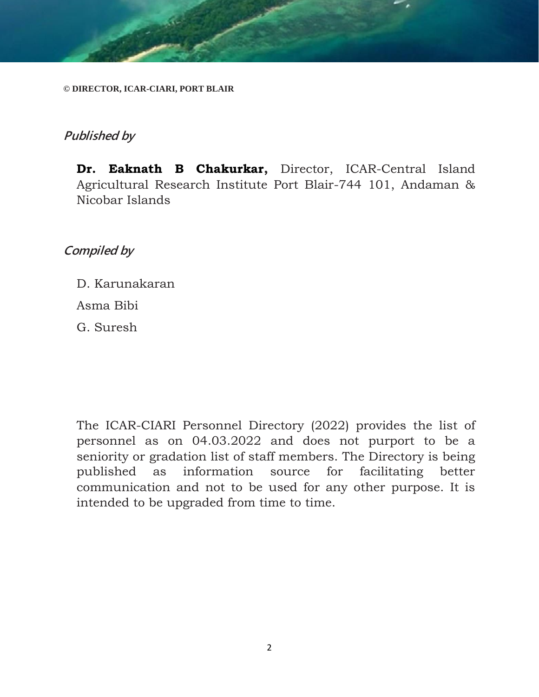**© DIRECTOR, ICAR-CIARI, PORT BLAIR** 

#### *Published by*

**Dr. Eaknath B Chakurkar,** Director, ICAR-Central Island Agricultural Research Institute Port Blair-744 101, Andaman & Nicobar Islands

*Compiled by*

D. Karunakaran

Asma Bibi

G. Suresh

The ICAR-CIARI Personnel Directory (2022) provides the list of personnel as on 04.03.2022 and does not purport to be a seniority or gradation list of staff members. The Directory is being published as information source for facilitating better communication and not to be used for any other purpose. It is intended to be upgraded from time to time.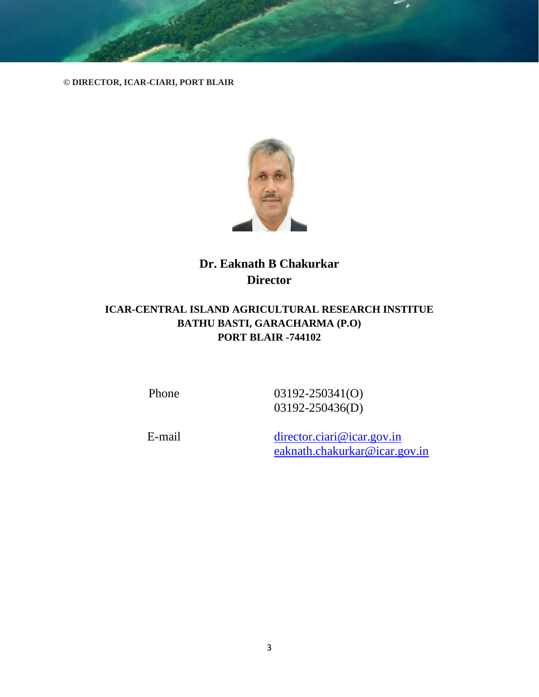**© DIRECTOR, ICAR-CIARI, PORT BLAIR** 



#### **Dr. Eaknath B Chakurkar Director**

#### **ICAR-CENTRAL ISLAND AGRICULTURAL RESEARCH INSTITUE BATHU BASTI, GARACHARMA (P.O) PORT BLAIR -744102**

Phone 03192-250341(O) 03192-250436(D)

E-mail [director.ciari@icar.gov.in](mailto:director.ciari@icar.gov.in) [eaknath.chakurkar@icar.gov.in](mailto:eaknath.chakurkar@icar.gov.in)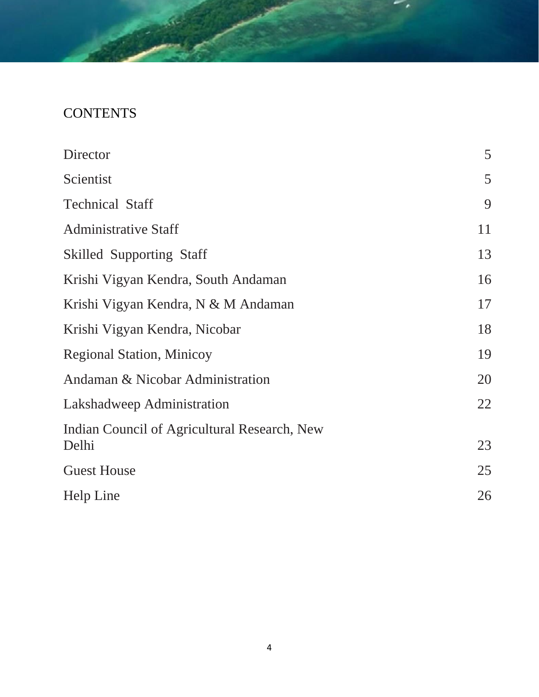## **CONTENTS**

| Director                                     | 5  |
|----------------------------------------------|----|
| Scientist                                    | 5  |
| <b>Technical Staff</b>                       | 9  |
| <b>Administrative Staff</b>                  | 11 |
| <b>Skilled Supporting Staff</b>              | 13 |
| Krishi Vigyan Kendra, South Andaman          | 16 |
| Krishi Vigyan Kendra, N & M Andaman          | 17 |
| Krishi Vigyan Kendra, Nicobar                | 18 |
| <b>Regional Station, Minicoy</b>             | 19 |
| Andaman & Nicobar Administration             | 20 |
| Lakshadweep Administration                   | 22 |
| Indian Council of Agricultural Research, New |    |
| Delhi                                        | 23 |
| <b>Guest House</b>                           | 25 |
| Help Line                                    | 26 |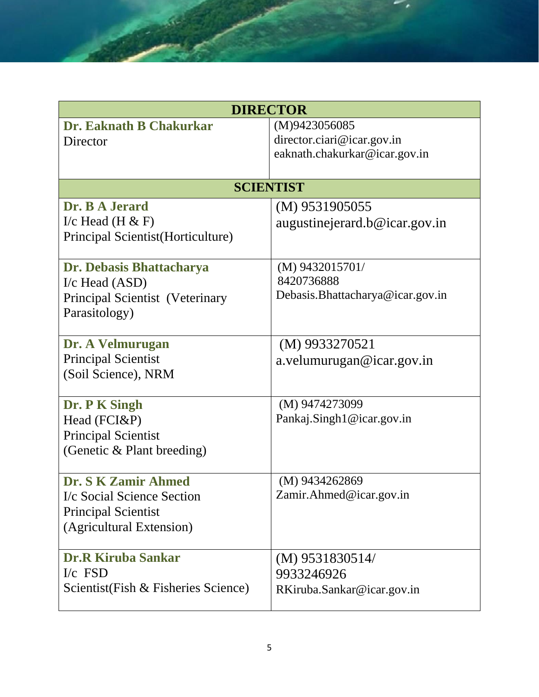| <b>DIRECTOR</b>                                         |                                  |
|---------------------------------------------------------|----------------------------------|
| Dr. Eaknath B Chakurkar                                 | (M)9423056085                    |
| Director                                                | director.ciari@icar.gov.in       |
|                                                         | eaknath.chakurkar@icar.gov.in    |
|                                                         |                                  |
|                                                         | <b>SCIENTIST</b>                 |
| Dr. B A Jerard                                          | $(M)$ 9531905055                 |
| I/c Head $(H & F)$                                      | augustinejerard.b@icar.gov.in    |
| Principal Scientist (Horticulture)                      |                                  |
|                                                         |                                  |
| Dr. Debasis Bhattacharya                                | $(M)$ 9432015701/<br>8420736888  |
| I/c Head (ASD)                                          | Debasis.Bhattacharya@icar.gov.in |
| <b>Principal Scientist (Veterinary</b><br>Parasitology) |                                  |
|                                                         |                                  |
| Dr. A Velmurugan                                        | $(M)$ 9933270521                 |
| <b>Principal Scientist</b>                              | a.velumurugan@icar.gov.in        |
| (Soil Science), NRM                                     |                                  |
|                                                         |                                  |
| Dr. P K Singh                                           | (M) 9474273099                   |
| Head (FCI&P)                                            | Pankaj.Singh1@icar.gov.in        |
| <b>Principal Scientist</b>                              |                                  |
| (Genetic & Plant breeding)                              |                                  |
| Dr. S K Zamir Ahmed                                     | $(M)$ 9434262869                 |
| I/c Social Science Section                              | Zamir.Ahmed@icar.gov.in          |
| <b>Principal Scientist</b>                              |                                  |
| (Agricultural Extension)                                |                                  |
|                                                         |                                  |
| <b>Dr.R Kiruba Sankar</b>                               | $(M)$ 9531830514/                |
| $I/c$ FSD                                               | 9933246926                       |
| Scientist(Fish & Fisheries Science)                     | RKiruba.Sankar@icar.gov.in       |
|                                                         |                                  |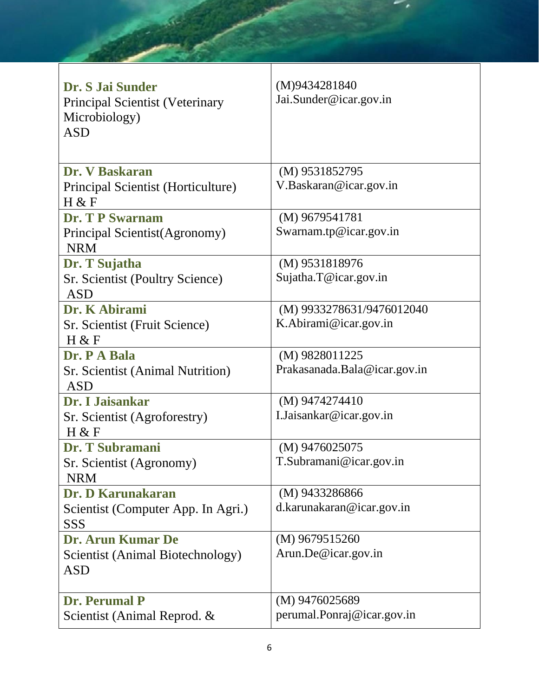| Dr. S Jai Sunder<br><b>Principal Scientist (Veterinary</b><br>Microbiology)<br><b>ASD</b> | (M)9434281840<br>Jai.Sunder@icar.gov.in |
|-------------------------------------------------------------------------------------------|-----------------------------------------|
| Dr. V Baskaran                                                                            | (M) 9531852795                          |
| Principal Scientist (Horticulture)<br>H & F                                               | V.Baskaran@icar.gov.in                  |
| <b>Dr. T P Swarnam</b>                                                                    | $(M)$ 9679541781                        |
| Principal Scientist(Agronomy)<br><b>NRM</b>                                               | Swarnam.tp@icar.gov.in                  |
| Dr. T Sujatha                                                                             | (M) 9531818976                          |
| Sr. Scientist (Poultry Science)<br><b>ASD</b>                                             | Sujatha.T@icar.gov.in                   |
| Dr. K Abirami                                                                             | (M) 9933278631/9476012040               |
| Sr. Scientist (Fruit Science)<br>H & F                                                    | K.Abirami@icar.gov.in                   |
| Dr. P A Bala                                                                              | $(M)$ 9828011225                        |
| Sr. Scientist (Animal Nutrition)<br><b>ASD</b>                                            | Prakasanada.Bala@icar.gov.in            |
| Dr. I Jaisankar                                                                           | (M) 9474274410                          |
| Sr. Scientist (Agroforestry)<br>H & F                                                     | I.Jaisankar@icar.gov.in                 |
| Dr. T Subramani                                                                           | $(M)$ 9476025075                        |
| Sr. Scientist (Agronomy)<br><b>NRM</b>                                                    | T.Subramani@icar.gov.in                 |
| Dr. D Karunakaran                                                                         | $(M)$ 9433286866                        |
| Scientist (Computer App. In Agri.)<br>SSS                                                 | d.karunakaran@icar.gov.in               |
| <b>Dr. Arun Kumar De</b>                                                                  | $(M)$ 9679515260                        |
| Scientist (Animal Biotechnology)<br>ASD                                                   | Arun.De@icar.gov.in                     |
| <b>Dr. Perumal P</b>                                                                      | $(M)$ 9476025689                        |
| Scientist (Animal Reprod. &                                                               | perumal.Ponraj@icar.gov.in              |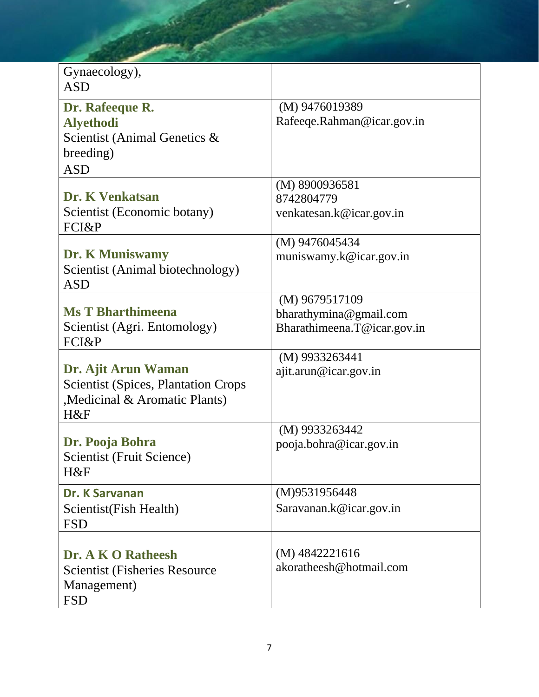| Gynaecology),<br><b>ASD</b>                                                                                 |                                                                           |
|-------------------------------------------------------------------------------------------------------------|---------------------------------------------------------------------------|
| Dr. Rafeeque R.<br><b>Alyethodi</b><br>Scientist (Animal Genetics &<br>breeding)<br><b>ASD</b>              | (M) 9476019389<br>Rafeeqe.Rahman@icar.gov.in                              |
| Dr. K Venkatsan<br>Scientist (Economic botany)<br>FCI&P                                                     | (M) 8900936581<br>8742804779<br>venkatesan.k@icar.gov.in                  |
| Dr. K Muniswamy<br>Scientist (Animal biotechnology)<br>ASD                                                  | (M) 9476045434<br>muniswamy.k@icar.gov.in                                 |
| <b>Ms T Bharthimeena</b><br>Scientist (Agri. Entomology)<br>FCI&P                                           | $(M)$ 9679517109<br>bharathymina@gmail.com<br>Bharathimeena.T@icar.gov.in |
| Dr. Ajit Arun Waman<br><b>Scientist (Spices, Plantation Crops)</b><br>, Medicinal & Aromatic Plants)<br>H&F | (M) 9933263441<br>ajit.arun@icar.gov.in                                   |
| Dr. Pooja Bohra<br>Scientist (Fruit Science)<br>H&F                                                         | $(M)$ 9933263442<br>pooja.bohra@icar.gov.in                               |
| <b>Dr. K Sarvanan</b><br>Scientist(Fish Health)<br><b>FSD</b>                                               | (M)9531956448<br>Saravanan.k@icar.gov.in                                  |
| <b>Dr. A K O Ratheesh</b><br><b>Scientist (Fisheries Resource)</b><br>Management)<br><b>FSD</b>             | $(M)$ 4842221616<br>akoratheesh@hotmail.com                               |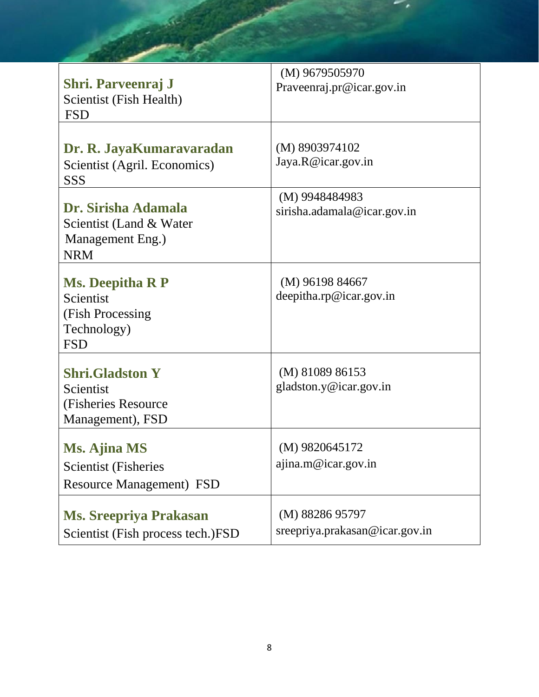| Shri. Parveenraj J<br>Scientist (Fish Health)<br><b>FSD</b>                           | $(M)$ 9679505970<br>Praveenraj.pr@icar.gov.in     |
|---------------------------------------------------------------------------------------|---------------------------------------------------|
| Dr. R. JayaKumaravaradan<br>Scientist (Agril. Economics)<br><b>SSS</b>                | $(M)$ 8903974102<br>Jaya.R@icar.gov.in            |
| Dr. Sirisha Adamala<br>Scientist (Land & Water<br>Management Eng.)<br><b>NRM</b>      | $(M)$ 9948484983<br>sirisha.adamala@icar.gov.in   |
| <b>Ms. Deepitha R P</b><br>Scientist<br>(Fish Processing<br>Technology)<br><b>FSD</b> | $(M)$ 96198 84667<br>deepitha.rp@icar.gov.in      |
| <b>Shri.Gladston Y</b><br>Scientist<br>(Fisheries Resource<br>Management), FSD        | (M) 81089 86153<br>gladston.y@icar.gov.in         |
| Ms. Ajina MS<br>Scientist (Fisheries<br><b>Resource Management</b> ) FSD              | (M) 9820645172<br>ajina.m@icar.gov.in             |
| <b>Ms. Sreepriya Prakasan</b><br>Scientist (Fish process tech.)FSD                    | (M) 88286 95797<br>sreepriya.prakasan@icar.gov.in |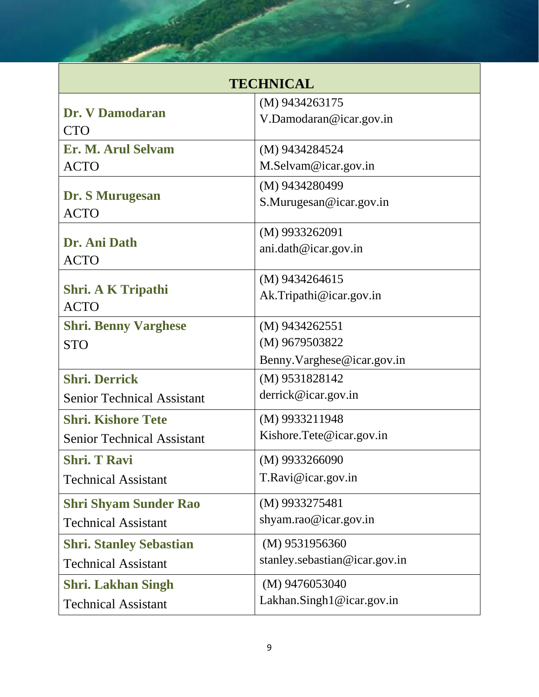| <b>TECHNICAL</b>                  |                               |  |
|-----------------------------------|-------------------------------|--|
|                                   | (M) 9434263175                |  |
| Dr. V Damodaran                   | V.Damodaran@icar.gov.in       |  |
| <b>CTO</b>                        |                               |  |
| Er. M. Arul Selvam                | (M) 9434284524                |  |
| <b>ACTO</b>                       | M.Selvam@icar.gov.in          |  |
| Dr. S Murugesan                   | (M) 9434280499                |  |
| <b>ACTO</b>                       | S.Murugesan@icar.gov.in       |  |
|                                   | (M) 9933262091                |  |
| Dr. Ani Dath                      | ani.dath@icar.gov.in          |  |
| <b>ACTO</b>                       |                               |  |
| <b>Shri. A K Tripathi</b>         | $(M)$ 9434264615              |  |
| <b>ACTO</b>                       | Ak.Tripathi@icar.gov.in       |  |
| <b>Shri. Benny Varghese</b>       | (M) 9434262551                |  |
|                                   | (M) 9679503822                |  |
| <b>STO</b>                        | Benny.Varghese@icar.gov.in    |  |
| <b>Shri. Derrick</b>              | $(M)$ 9531828142              |  |
| <b>Senior Technical Assistant</b> | derrick@icar.gov.in           |  |
|                                   |                               |  |
| <b>Shri. Kishore Tete</b>         | (M) 9933211948                |  |
| <b>Senior Technical Assistant</b> | Kishore.Tete@icar.gov.in      |  |
| <b>Shri. T Ravi</b>               | (M) 9933266090                |  |
| <b>Technical Assistant</b>        | T.Ravi@icar.gov.in            |  |
| <b>Shri Shyam Sunder Rao</b>      | (M) 9933275481                |  |
| <b>Technical Assistant</b>        | shyam.rao@icar.gov.in         |  |
| <b>Shri. Stanley Sebastian</b>    | $(M)$ 9531956360              |  |
| <b>Technical Assistant</b>        | stanley.sebastian@icar.gov.in |  |
| <b>Shri. Lakhan Singh</b>         | $(M)$ 9476053040              |  |
| <b>Technical Assistant</b>        | Lakhan.Singh1@icar.gov.in     |  |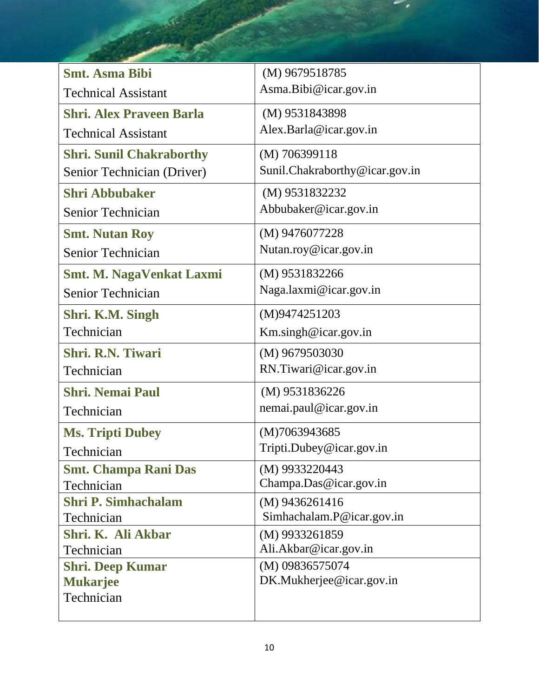| <b>Smt. Asma Bibi</b>           | $(M)$ 9679518785               |
|---------------------------------|--------------------------------|
| <b>Technical Assistant</b>      | Asma.Bibi@icar.gov.in          |
| <b>Shri. Alex Praveen Barla</b> | (M) 9531843898                 |
| <b>Technical Assistant</b>      | Alex.Barla@icar.gov.in         |
| <b>Shri. Sunil Chakraborthy</b> | $(M)$ 706399118                |
| Senior Technician (Driver)      | Sunil.Chakraborthy@icar.gov.in |
| <b>Shri Abbubaker</b>           | (M) 9531832232                 |
| Senior Technician               | Abbubaker@icar.gov.in          |
| <b>Smt. Nutan Roy</b>           | (M) 9476077228                 |
| Senior Technician               | Nutan.roy@icar.gov.in          |
| <b>Smt. M. NagaVenkat Laxmi</b> | $(M)$ 9531832266               |
| Senior Technician               | Naga.laxmi@icar.gov.in         |
| Shri. K.M. Singh                | (M)9474251203                  |
| Technician                      | Km.singh@icar.gov.in           |
| <b>Shri. R.N. Tiwari</b>        | $(M)$ 9679503030               |
| Technician                      | RN.Tiwari@icar.gov.in          |
| <b>Shri. Nemai Paul</b>         | (M) 9531836226                 |
| Technician                      | nemai.paul@icar.gov.in         |
| <b>Ms. Tripti Dubey</b>         | (M)7063943685                  |
| Technician                      | Tripti.Dubey@icar.gov.in       |
| <b>Smt. Champa Rani Das</b>     | (M) 9933220443                 |
| Technician                      | Champa.Das@icar.gov.in         |
| <b>Shri P. Simhachalam</b>      | (M) 9436261416                 |
| Technician                      | Simhachalam.P@icar.gov.in      |
| Shri. K. Ali Akbar              | $(M)$ 9933261859               |
| Technician                      | Ali.Akbar@icar.gov.in          |
| <b>Shri. Deep Kumar</b>         | (M) 09836575074                |
| <b>Mukarjee</b>                 | DK.Mukherjee@icar.gov.in       |
| Technician                      |                                |
|                                 |                                |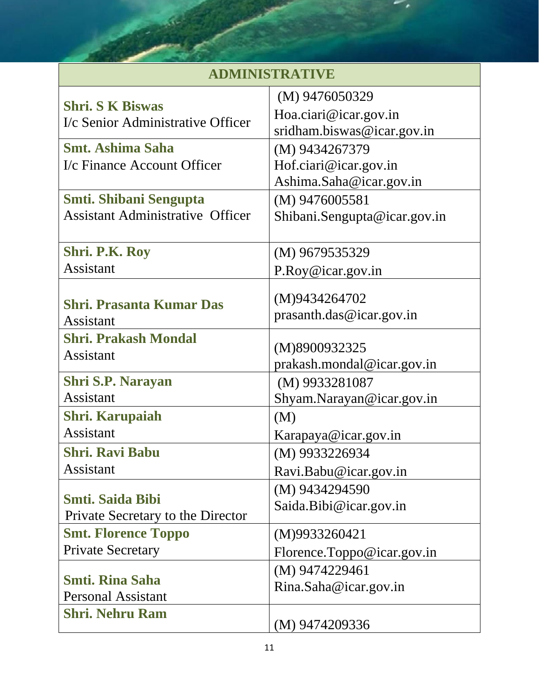| <b>ADMINISTRATIVE</b>                   |                                             |  |
|-----------------------------------------|---------------------------------------------|--|
| <b>Shri. S K Biswas</b>                 | $(M)$ 9476050329                            |  |
| I/c Senior Administrative Officer       | Hoa.ciari@icar.gov.in                       |  |
|                                         | sridham.biswas@icar.gov.in                  |  |
| <b>Smt. Ashima Saha</b>                 | (M) 9434267379                              |  |
| <b>I/c Finance Account Officer</b>      | Hof.ciari@icar.gov.in                       |  |
|                                         | Ashima.Saha@icar.gov.in                     |  |
| Smti. Shibani Sengupta                  | $(M)$ 9476005581                            |  |
| <b>Assistant Administrative Officer</b> | Shibani.Sengupta@icar.gov.in                |  |
|                                         |                                             |  |
| <b>Shri. P.K. Roy</b>                   | $(M)$ 9679535329                            |  |
| Assistant                               | P.Roy@icar.gov.in                           |  |
|                                         |                                             |  |
| Shri. Prasanta Kumar Das                | (M)9434264702                               |  |
| Assistant                               | prasanth.das@icar.gov.in                    |  |
| <b>Shri. Prakash Mondal</b>             |                                             |  |
| Assistant                               | (M)8900932325<br>prakash.mondal@icar.gov.in |  |
| <b>Shri S.P. Narayan</b>                | (M) 9933281087                              |  |
| Assistant                               | Shyam.Narayan@icar.gov.in                   |  |
| <b>Shri. Karupaiah</b>                  | (M)                                         |  |
| Assistant                               |                                             |  |
|                                         | Karapaya@icar.gov.in                        |  |
| <b>Shri. Ravi Babu</b>                  | $(M)$ 9933226934                            |  |
| Assistant                               | Ravi.Babu@icar.gov.in                       |  |
| <b>Smti. Saida Bibi</b>                 | (M) 9434294590                              |  |
| Private Secretary to the Director       | Saida.Bibi@icar.gov.in                      |  |
| <b>Smt. Florence Toppo</b>              | (M)9933260421                               |  |
| <b>Private Secretary</b>                | Florence.Toppo@icar.gov.in                  |  |
|                                         | $(M)$ 9474229461                            |  |
| <b>Smti. Rina Saha</b>                  | Rina.Saha@icar.gov.in                       |  |
| <b>Personal Assistant</b>               |                                             |  |
| <b>Shri. Nehru Ram</b>                  | $(M)$ 9474209336                            |  |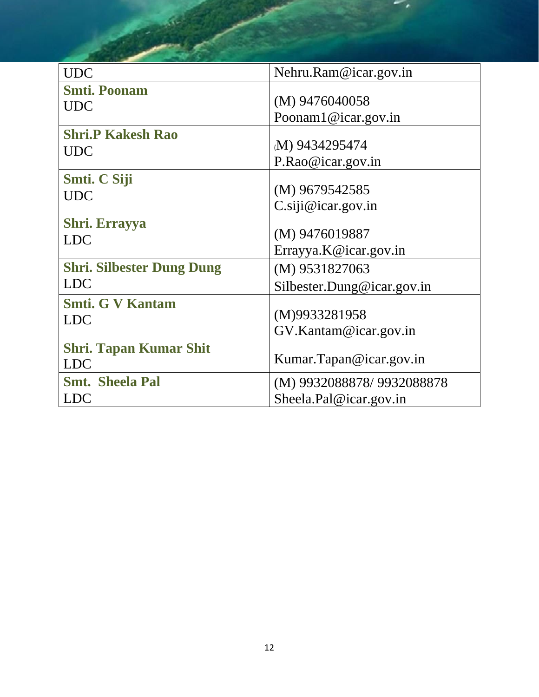| <b>UDC</b>                                  | Nehru.Ram@icar.gov.in      |
|---------------------------------------------|----------------------------|
| <b>Smti. Poonam</b>                         | $(M)$ 9476040058           |
| <b>UDC</b>                                  | Poonam1@icar.gov.in        |
| <b>Shri.P Kakesh Rao</b>                    | (M) 9434295474             |
| <b>UDC</b>                                  | P.Rao@icar.gov.in          |
| Smti. C Siji                                | $(M)$ 9679542585           |
| <b>UDC</b>                                  | $C.\nsiji@icar.gov.in$     |
| Shri. Errayya                               | $(M)$ 9476019887           |
| <b>LDC</b>                                  | Errayya.K@icar.gov.in      |
| <b>Shri. Silbester Dung Dung</b>            | $(M)$ 9531827063           |
| <b>LDC</b>                                  | Silbester.Dung@icar.gov.in |
| <b>Smti. G V Kantam</b>                     | (M)9933281958              |
| <b>LDC</b>                                  | GV.Kantam@icar.gov.in      |
| <b>Shri. Tapan Kumar Shit</b><br><b>LDC</b> | Kumar.Tapan@icar.gov.in    |
| <b>Smt. Sheela Pal</b>                      | (M) 9932088878/ 9932088878 |
| <b>LDC</b>                                  | Sheela.Pal@icar.gov.in     |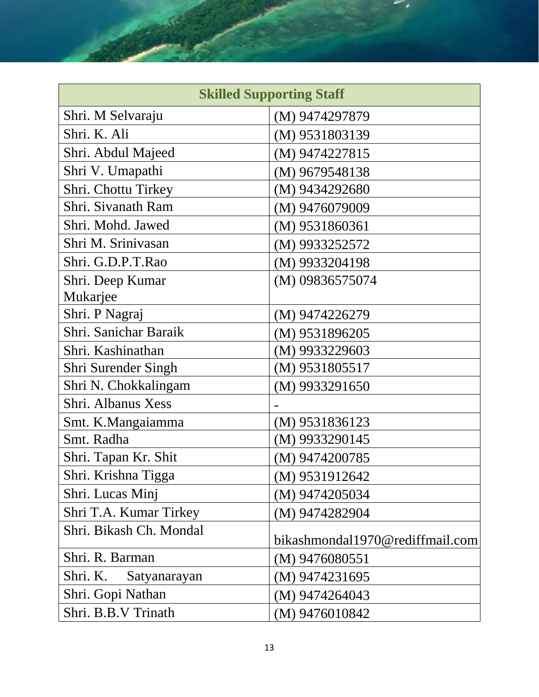| <b>Skilled Supporting Staff</b> |                                 |
|---------------------------------|---------------------------------|
| Shri. M Selvaraju               | (M) 9474297879                  |
| Shri. K. Ali                    | (M) 9531803139                  |
| Shri. Abdul Majeed              | (M) 9474227815                  |
| Shri V. Umapathi                | (M) 9679548138                  |
| Shri. Chottu Tirkey             | (M) 9434292680                  |
| Shri. Sivanath Ram              | (M) 9476079009                  |
| Shri. Mohd. Jawed               | $(M)$ 9531860361                |
| Shri M. Srinivasan              | (M) 9933252572                  |
| Shri. G.D.P.T.Rao               | (M) 9933204198                  |
| Shri. Deep Kumar                | (M) 09836575074                 |
| Mukarjee                        |                                 |
| Shri. P Nagraj                  | (M) 9474226279                  |
| Shri. Sanichar Baraik           | (M) 9531896205                  |
| Shri. Kashinathan               | (M) 9933229603                  |
| Shri Surender Singh             | $(M)$ 9531805517                |
| Shri N. Chokkalingam            | (M) 9933291650                  |
| Shri. Albanus Xess              |                                 |
| Smt. K.Mangaiamma               | $(M)$ 9531836123                |
| Smt. Radha                      | (M) 9933290145                  |
| Shri. Tapan Kr. Shit            | (M) 9474200785                  |
| Shri. Krishna Tigga             | $(M)$ 9531912642                |
| Shri. Lucas Minj                | (M) 9474205034                  |
| Shri T.A. Kumar Tirkey          | (M) 9474282904                  |
| Shri. Bikash Ch. Mondal         | bikashmondal1970@rediffmail.com |
| Shri. R. Barman                 | (M) 9476080551                  |
| Shri. K.<br>Satyanarayan        | (M) 9474231695                  |
| Shri. Gopi Nathan               | (M) 9474264043                  |
| Shri. B.B.V Trinath             | $(M)$ 9476010842                |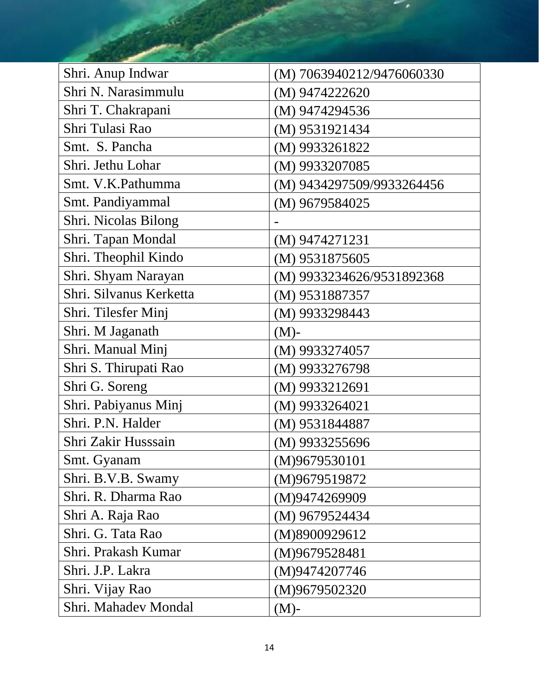| Shri. Anup Indwar       | (M) 7063940212/9476060330 |
|-------------------------|---------------------------|
| Shri N. Narasimmulu     | (M) 9474222620            |
| Shri T. Chakrapani      | (M) 9474294536            |
| Shri Tulasi Rao         | (M) 9531921434            |
| Smt. S. Pancha          | (M) 9933261822            |
| Shri. Jethu Lohar       | (M) 9933207085            |
| Smt. V.K.Pathumma       | (M) 9434297509/9933264456 |
| Smt. Pandiyammal        | (M) 9679584025            |
| Shri. Nicolas Bilong    |                           |
| Shri. Tapan Mondal      | (M) 9474271231            |
| Shri. Theophil Kindo    | (M) 9531875605            |
| Shri. Shyam Narayan     | (M) 9933234626/9531892368 |
| Shri. Silvanus Kerketta | (M) 9531887357            |
| Shri. Tilesfer Minj     | (M) 9933298443            |
| Shri. M Jaganath        | (M)-                      |
| Shri. Manual Minj       | (M) 9933274057            |
| Shri S. Thirupati Rao   | (M) 9933276798            |
| Shri G. Soreng          | (M) 9933212691            |
| Shri. Pabiyanus Minj    | (M) 9933264021            |
| Shri. P.N. Halder       | (M) 9531844887            |
| Shri Zakir Husssain     | (M) 9933255696            |
| Smt. Gyanam             | (M)9679530101             |
| Shri. B.V.B. Swamy      | (M)9679519872             |
| Shri. R. Dharma Rao     | (M)9474269909             |
| Shri A. Raja Rao        | (M) 9679524434            |
| Shri. G. Tata Rao       | (M)8900929612             |
| Shri. Prakash Kumar     | (M)9679528481             |
| Shri. J.P. Lakra        | (M)9474207746             |
| Shri. Vijay Rao         | (M)9679502320             |
| Shri. Mahadev Mondal    | $(M)$ -                   |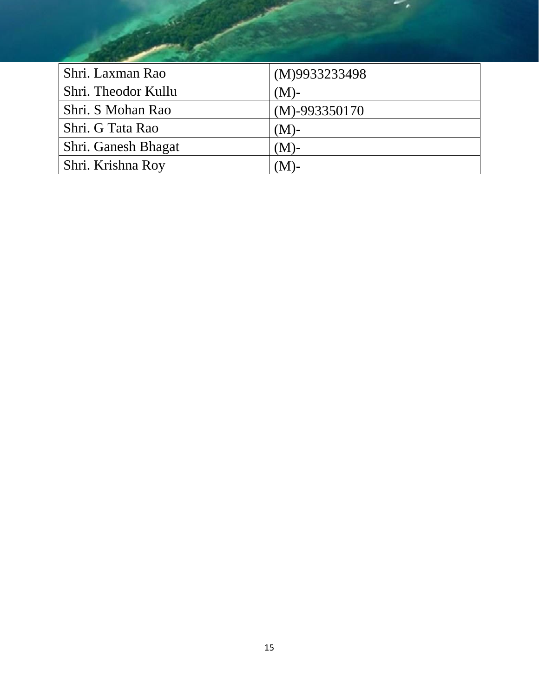| (M)9933233498     |
|-------------------|
| $(M)$ -           |
| $(M) - 993350170$ |
| (M)-              |
| $(M)$ -           |
| $M$ )-            |
|                   |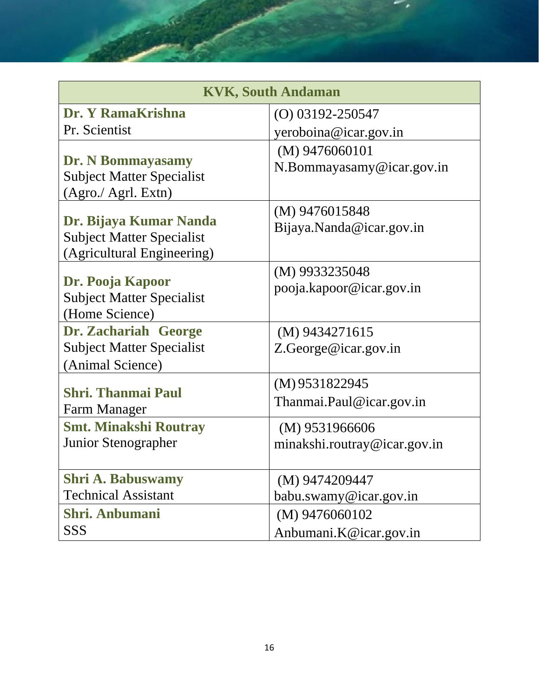| <b>KVK, South Andaman</b>                                                                |                                                  |  |
|------------------------------------------------------------------------------------------|--------------------------------------------------|--|
| Dr. Y RamaKrishna                                                                        | $(O)$ 03192-250547                               |  |
| Pr. Scientist                                                                            | yeroboina@icar.gov.in                            |  |
| Dr. N Bommayasamy<br><b>Subject Matter Specialist</b><br>(Agro./ Agrl. Extn)             | $(M)$ 9476060101<br>N.Bommayasamy@icar.gov.in    |  |
| Dr. Bijaya Kumar Nanda<br><b>Subject Matter Specialist</b><br>(Agricultural Engineering) | $(M)$ 9476015848<br>Bijaya.Nanda@icar.gov.in     |  |
| Dr. Pooja Kapoor<br><b>Subject Matter Specialist</b><br>(Home Science)                   | (M) 9933235048<br>pooja.kapoor@icar.gov.in       |  |
| Dr. Zachariah George<br><b>Subject Matter Specialist</b><br>(Animal Science)             | (M) 9434271615<br>Z.George@icar.gov.in           |  |
| <b>Shri. Thanmai Paul</b><br><b>Farm Manager</b>                                         | $(M)$ 9531822945<br>Thanmai.Paul@icar.gov.in     |  |
| <b>Smt. Minakshi Routray</b><br><b>Junior Stenographer</b>                               | $(M)$ 9531966606<br>minakshi.routray@icar.gov.in |  |
| <b>Shri A. Babuswamy</b><br><b>Technical Assistant</b>                                   | (M) 9474209447<br>babu.swamy@icar.gov.in         |  |
| Shri. Anbumani                                                                           | (M) 9476060102                                   |  |
| <b>SSS</b>                                                                               | Anbumani.K@icar.gov.in                           |  |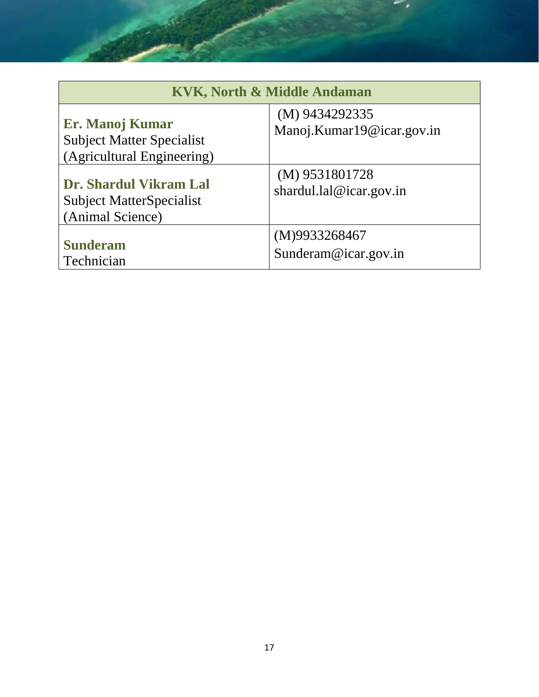| <b>KVK, North &amp; Middle Andaman</b>                                            |                                               |  |
|-----------------------------------------------------------------------------------|-----------------------------------------------|--|
| Er. Manoj Kumar<br><b>Subject Matter Specialist</b><br>(Agricultural Engineering) | $(M)$ 9434292335<br>Manoj.Kumar19@icar.gov.in |  |
| Dr. Shardul Vikram Lal<br><b>Subject MatterSpecialist</b><br>(Animal Science)     | $(M)$ 9531801728<br>shardul.lal@icar.gov.in   |  |
| <b>Sunderam</b><br>Technician                                                     | (M)9933268467<br>Sunderam@icar.gov.in         |  |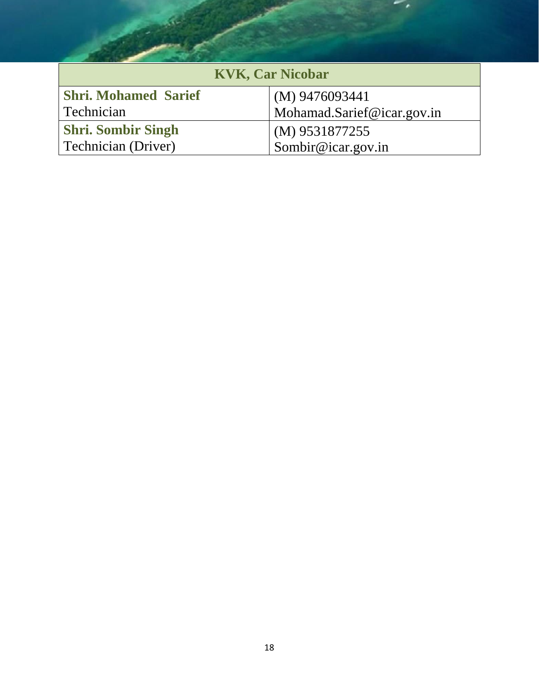| <b>KVK, Car Nicobar</b>     |                            |  |
|-----------------------------|----------------------------|--|
| <b>Shri. Mohamed Sarief</b> | $(M)$ 9476093441           |  |
| Technician                  | Mohamad.Sarief@icar.gov.in |  |
| <b>Shri. Sombir Singh</b>   | $(M)$ 9531877255           |  |
| Technician (Driver)         | Sombir@icar.gov.in         |  |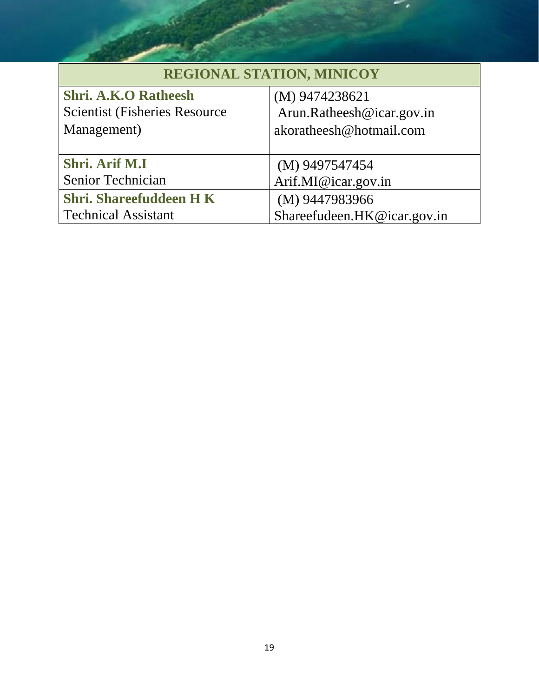| <b>REGIONAL STATION, MINICOY</b>                                                    |                                                                        |  |
|-------------------------------------------------------------------------------------|------------------------------------------------------------------------|--|
| <b>Shri. A.K.O Ratheesh</b><br><b>Scientist (Fisheries Resource)</b><br>Management) | (M) 9474238621<br>Arun.Ratheesh@icar.gov.in<br>akoratheesh@hotmail.com |  |
| Shri. Arif M.I                                                                      | (M) 9497547454                                                         |  |
| Senior Technician                                                                   | Arif.MI@icar.gov.in                                                    |  |
| <b>Shri. Shareefuddeen H K</b>                                                      | (M) 9447983966                                                         |  |
| <b>Technical Assistant</b>                                                          | Shareefudeen.HK@icar.gov.in                                            |  |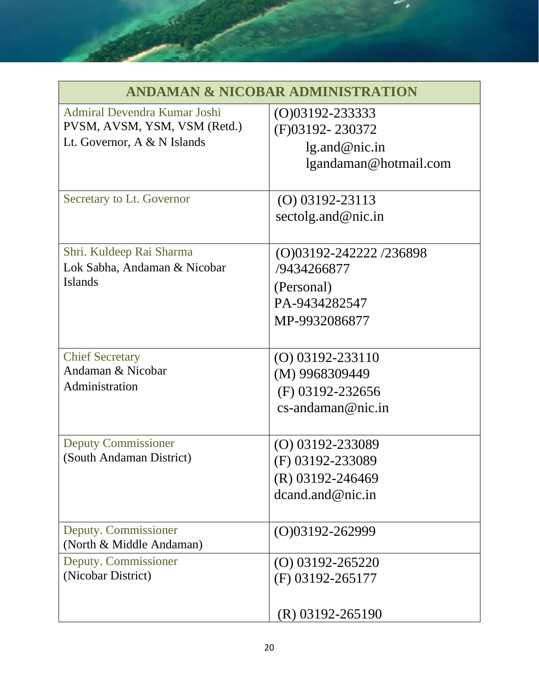| <b>ANDAMAN &amp; NICOBAR ADMINISTRATION</b>                                                    |                                                                                        |  |
|------------------------------------------------------------------------------------------------|----------------------------------------------------------------------------------------|--|
| Admiral Devendra Kumar Joshi<br>PVSM, AVSM, YSM, VSM (Retd.)<br>Lt. Governor, A & N Islands    | $(O)$ 03192-233333<br>(F)03192-230372<br>$lg$ .and@nic.in<br>lgandaman@hotmail.com     |  |
| Secretary to Lt. Governor                                                                      | $(0)$ 03192-23113<br>sectolg.and $@$ nic.in                                            |  |
| Shri. Kuldeep Rai Sharma<br>Lok Sabha, Andaman & Nicobar<br><b>Islands</b>                     | (O)03192-242222 /236898<br>/9434266877<br>(Personal)<br>PA-9434282547<br>MP-9932086877 |  |
| <b>Chief Secretary</b><br>Andaman & Nicobar<br>Administration                                  | $(O)$ 03192-233110<br>$(M)$ 9968309449<br>$(F)$ 03192-232656<br>$cs$ -andaman@nic.in   |  |
| <b>Deputy Commissioner</b><br>(South Andaman District)                                         | $(O)$ 03192-233089<br>(F) 03192-233089<br>(R) 03192-246469<br>$d$ cand.and@nic.in      |  |
| Deputy. Commissioner<br>(North & Middle Andaman)<br>Deputy. Commissioner<br>(Nicobar District) | $(O)$ 03192-262999<br>$(O)$ 03192-265220<br>$(F)$ 03192-265177                         |  |
|                                                                                                | $(R)$ 03192-265190                                                                     |  |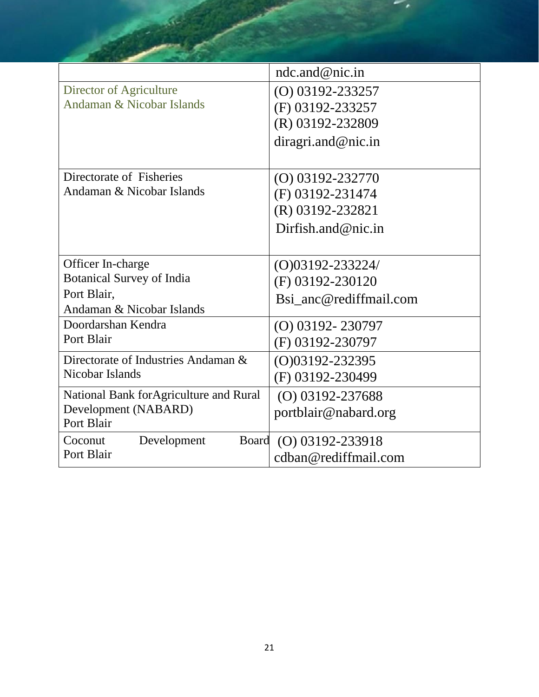|                                         | $ndc$ and $@$ nic. in    |  |
|-----------------------------------------|--------------------------|--|
|                                         |                          |  |
| Director of Agriculture                 | $(O)$ 03192-233257       |  |
| Andaman & Nicobar Islands               | $(F)$ 03192-233257       |  |
|                                         | (R) 03192-232809         |  |
|                                         | $diragri.$ and $@nic.in$ |  |
|                                         |                          |  |
| Directorate of Fisheries                | $(O)$ 03192-232770       |  |
| Andaman & Nicobar Islands               | $(F)$ 03192-231474       |  |
|                                         | (R) 03192-232821         |  |
|                                         | $Dirfish$ .and@nic.in    |  |
|                                         |                          |  |
| Officer In-charge                       | $(O)$ 03192-233224/      |  |
| <b>Botanical Survey of India</b>        | $(F)$ 03192-230120       |  |
| Port Blair,                             | Bsi anc@rediffmail.com   |  |
| Andaman & Nicobar Islands               |                          |  |
| Doordarshan Kendra                      | $(O)$ 03192 - 230797     |  |
| Port Blair                              | $(F)$ 03192-230797       |  |
| Directorate of Industries Andaman &     | $(O)$ 03192-232395       |  |
| Nicobar Islands                         | (F) 03192-230499         |  |
| National Bank for Agriculture and Rural | $(O)$ 03192-237688       |  |
| Development (NABARD)                    | portblair@nabard.org     |  |
| Port Blair                              |                          |  |
| Coconut<br>Development<br><b>Board</b>  | $(O)$ 03192-233918       |  |
| Port Blair                              | cdban@rediffmail.com     |  |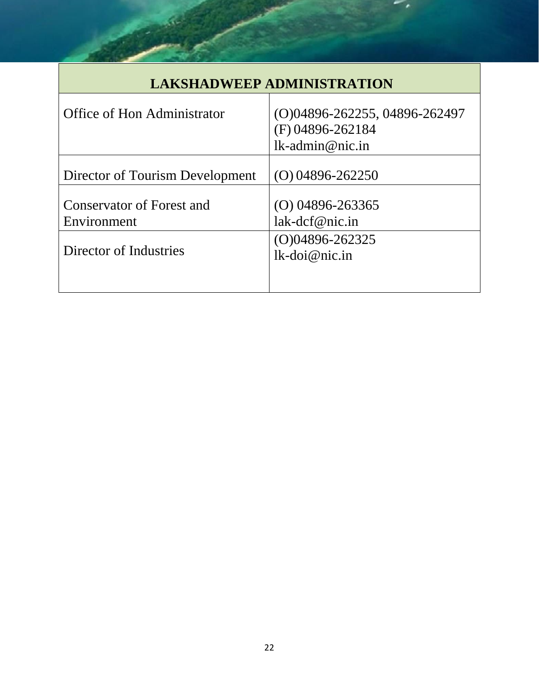| <b>LAKSHADWEEP ADMINISTRATION</b>        |                                                                           |  |
|------------------------------------------|---------------------------------------------------------------------------|--|
| Office of Hon Administrator              | (O)04896-262255, 04896-262497<br>$(F)$ 04896-262184<br>$lk$ -admin@nic.in |  |
| Director of Tourism Development          | $(O)$ 04896-262250                                                        |  |
| Conservator of Forest and<br>Environment | $(O)$ 04896-263365<br>lak-dcf@nic.in                                      |  |
| Director of Industries                   | $(O)$ 04896-262325<br>$lk$ -doi $@$ nic.in                                |  |
|                                          |                                                                           |  |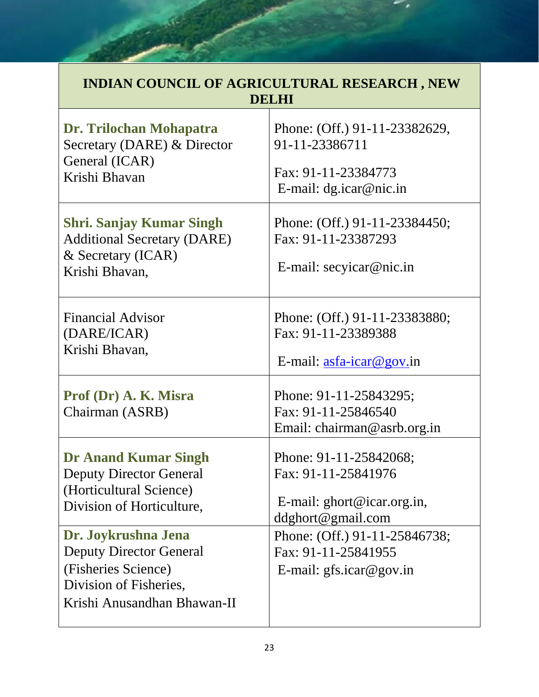## **INDIAN COUNCIL OF AGRICULTURAL RESEARCH , NEW DELHI**

| Dr. Trilochan Mohapatra<br>Secretary (DARE) & Director<br>General (ICAR)<br>Krishi Bhavan                                             | Phone: (Off.) 91-11-23382629,<br>91-11-23386711<br>Fax: 91-11-23384773<br>E-mail: $dg$ .icar@nic.in           |
|---------------------------------------------------------------------------------------------------------------------------------------|---------------------------------------------------------------------------------------------------------------|
| <b>Shri. Sanjay Kumar Singh</b><br><b>Additional Secretary (DARE)</b><br>& Secretary (ICAR)<br>Krishi Bhavan,                         | Phone: (Off.) 91-11-23384450;<br>Fax: 91-11-23387293<br>E-mail: $\sec$ yicar@nic.in                           |
| <b>Financial Advisor</b><br>(DARE/ICAR)<br>Krishi Bhavan,                                                                             | Phone: (Off.) 91-11-23383880;<br>Fax: 91-11-23389388<br>E-mail: $\frac{asfa-icar@gov.in}{asfa-icar@gov.in}$   |
| Prof (Dr) A. K. Misra<br>Chairman (ASRB)                                                                                              | Phone: 91-11-25843295;<br>Fax: 91-11-25846540<br>Email: chairman@asrb.org.in                                  |
| <b>Dr Anand Kumar Singh</b><br><b>Deputy Director General</b><br>(Horticultural Science)<br>Division of Horticulture,                 | Phone: 91-11-25842068;<br>Fax: 91-11-25841976<br>E-mail: $\text{ghort@icar.org.in}$ ,<br>$ddg$ hort@gmail.com |
| Dr. Joykrushna Jena<br><b>Deputy Director General</b><br>(Fisheries Science)<br>Division of Fisheries,<br>Krishi Anusandhan Bhawan-II | Phone: (Off.) 91-11-25846738;<br>Fax: 91-11-25841955<br>E-mail: $gfs.icar@gov.in$                             |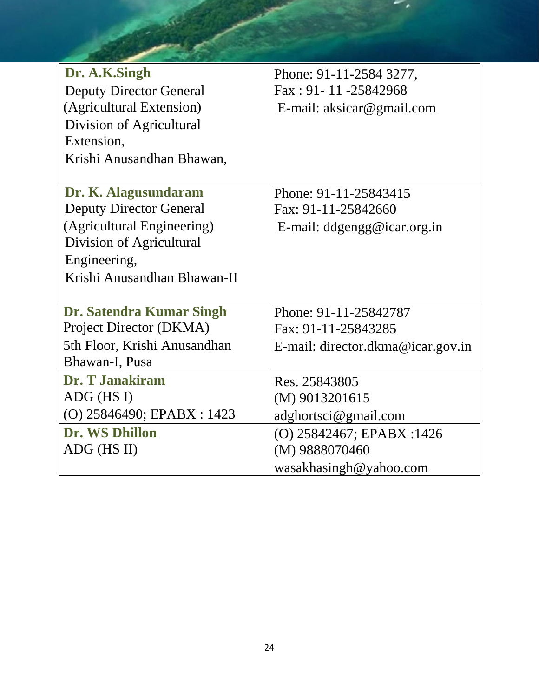| Dr. A.K.Singh                   | Phone: 91-11-2584 3277,           |
|---------------------------------|-----------------------------------|
| <b>Deputy Director General</b>  | $Fax: 91-11 - 25842968$           |
| (Agricultural Extension)        | E-mail: aksicar@gmail.com         |
| Division of Agricultural        |                                   |
| Extension,                      |                                   |
| Krishi Anusandhan Bhawan,       |                                   |
| Dr. K. Alagusundaram            | Phone: 91-11-25843415             |
| <b>Deputy Director General</b>  | Fax: 91-11-25842660               |
| (Agricultural Engineering)      | E-mail: $ddegeng@icar.org.in$     |
| Division of Agricultural        |                                   |
| Engineering,                    |                                   |
| Krishi Anusandhan Bhawan-II     |                                   |
|                                 |                                   |
| <b>Dr. Satendra Kumar Singh</b> | Phone: 91-11-25842787             |
| Project Director (DKMA)         | Fax: 91-11-25843285               |
| 5th Floor, Krishi Anusandhan    | E-mail: director.dkma@icar.gov.in |
| Bhawan-I, Pusa                  |                                   |
| Dr. T Janakiram                 | Res. 25843805                     |
| ADG (HS I)                      | $(M)$ 9013201615                  |
| (O) 25846490; EPABX : 1423      | adghortsci@gmail.com              |
| <b>Dr. WS Dhillon</b>           | (O) 25842467; EPABX:1426          |
| ADG (HS II)                     | (M) 9888070460                    |
|                                 | wasakhasingh@yahoo.com            |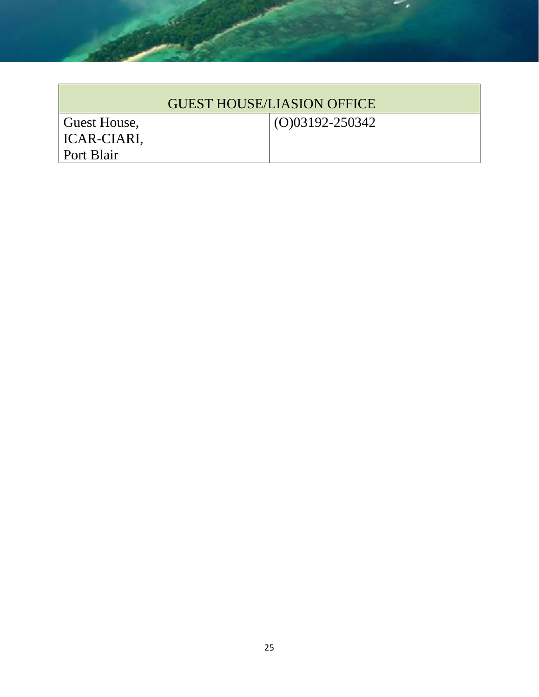### GUEST HOUSE/LIASION OFFICE Guest House, ICAR-CIARI, Port Blair (O)03192-250342